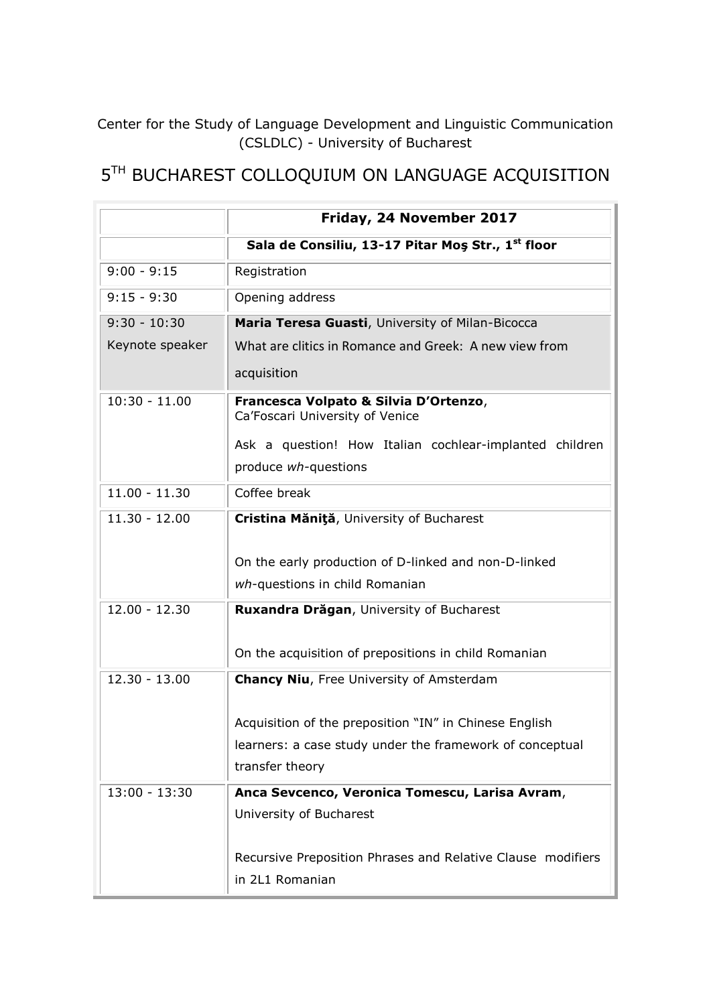Center for the Study of Language Development and Linguistic Communication (CSLDLC) - University of Bucharest

## 5<sup>TH</sup> BUCHAREST COLLOQUIUM ON LANGUAGE ACQUISITION

|                 | Friday, 24 November 2017                                                 |
|-----------------|--------------------------------------------------------------------------|
|                 | Sala de Consiliu, 13-17 Pitar Mos Str., 1 <sup>st</sup> floor            |
| $9:00 - 9:15$   | Registration                                                             |
| $9:15 - 9:30$   | Opening address                                                          |
| $9:30 - 10:30$  | Maria Teresa Guasti, University of Milan-Bicocca                         |
| Keynote speaker | What are clitics in Romance and Greek: A new view from                   |
|                 | acquisition                                                              |
| $10:30 - 11.00$ | Francesca Volpato & Silvia D'Ortenzo,<br>Ca'Foscari University of Venice |
|                 | Ask a question! How Italian cochlear-implanted children                  |
|                 | produce wh-questions                                                     |
| $11.00 - 11.30$ | Coffee break                                                             |
| $11.30 - 12.00$ | Cristina Măniță, University of Bucharest                                 |
|                 |                                                                          |
|                 | On the early production of D-linked and non-D-linked                     |
|                 | wh-questions in child Romanian                                           |
| $12.00 - 12.30$ | Ruxandra Drăgan, University of Bucharest                                 |
|                 | On the acquisition of prepositions in child Romanian                     |
| $12.30 - 13.00$ | <b>Chancy Niu, Free University of Amsterdam</b>                          |
|                 |                                                                          |
|                 | Acquisition of the preposition "IN" in Chinese English                   |
|                 | learners: a case study under the framework of conceptual                 |
|                 | transfer theory                                                          |
| $13:00 - 13:30$ | Anca Sevcenco, Veronica Tomescu, Larisa Avram,                           |
|                 | University of Bucharest                                                  |
|                 | Recursive Preposition Phrases and Relative Clause modifiers              |
|                 | in 2L1 Romanian                                                          |